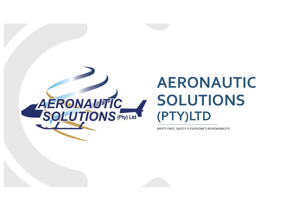

# **AERONAUTIC SOLUTIONS (PTY)LTD**

SAFETY FIRST, SAFETY IS EVERYONE'S RESPONSIBILITY!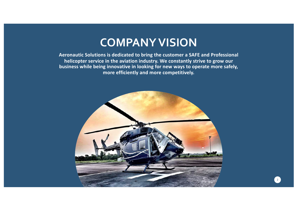# **COMPANYVISION**

**Aeronautic Solutions is dedicated to bring the customer a SAFE and Professional helicopter service in the aviation industry. We constantly strive to grow our business while being innovative in looking for new ways to operate more safely, more efficiently and more competitively.**

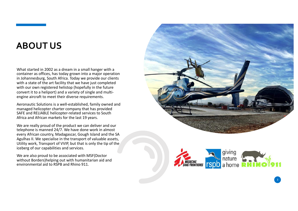# **ABOUT U S**

What started in 200 2 as a dream in a small hanger with a container as offices, has today grown into a major operation in Johannesburg, South Africa. Today we provide our clients with a state of the art facility that we have just completed with our own registered helistop (hopefully in the future convert it to a heliport) and a variety of single and multi engine aircraft to meet their diverse requirements .

Aeronautic Solution s is a well -established, family owned and managed helicopter charter company that has provided SAFE and RELIABLE helicopter-related services to South Africa and African markets for the last 1 9 years .

We are really proud of the product we can deliver and our telephone is manned 24/7. We have done work in almost every African country, Madagascar, Gough Island and the SA Agulhas II. We specialise in the transport of valuable assets, Utility work, Transport of VVIP, but that is only the tip of the iceberg of our capabilities and services.

We are also proud to be associated with MSF(Doctor without Borders)helping out with humanitarian aid and environmental aid to RSPB and Rhino 911.



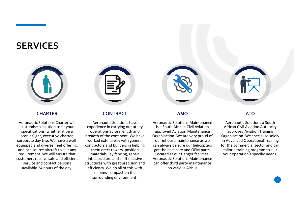#### **SERVICES**



#### **CHARTER**

Aeronautic Solutions Charter will customise a solution to fit your specifications, whether it be a scenic flight, executive charter, corporate day trip. We have a wellequipped and diverse fleet offering, and can source aircraft to suit any requirement. We will ensure that customers receive safe and efficient service and contact persons available 24 hours of the day.



#### **CONTRACT**

Aeronautic Solutions have experience in carrying out utility operations across length and breadth of the continent. We have worked extensively with general contractors and builders in helping them erect towers, position materials, lay fencing, repair infrastructure and shift massive structures with great precision and efficiency. We do all of this with minimum impact on the surrounding environment.



#### **AMO**

Aeronautic Solutions Maintenance is a South African Civil Aviation approved Aviation Maintenance Organisation. We are very proud of our inhouse maintenance as we can always be sure our helicopters get the best care and OEM parts. Located at our Hanger facilities. Aeronautic Solutions Maintenance can offer third party maintenance on various Airbus

#### **ATO**

Aeronautic Solutions a South African Civil Aviation Authority approved Aviation Training Organisation. We specialise solely in Advanced Operational Training for the commercial sector and can tailor a training program to suit your operation's specific needs.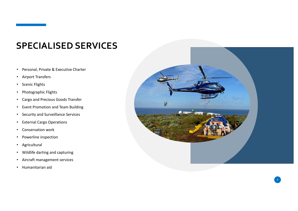# **SPECIALISED SERVICES**

- Personal, Private & Executive Charter
- Airport Transfers
- Scenic Flights
- Photographic Flights
- Cargo and Precious Goods Transfer
- Event Promotion and Team Building
- Security and Surveillance Services
- External Cargo Operations
- Conservation work
- Powerline inspection
- Agricultural
- Wildlife darting and capturing
- Aircraft management services
- Humanitarian aid

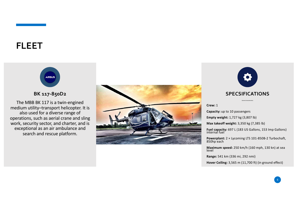

The MBB BK 117 is a twin-engined medium utility–transport helicopter. It is also used for a diverse range of operations, such as aerial crane and sling work, security sector, and charter, and is exceptional as an air ambulance and search and rescue platform.





#### **General characteristics**

**Crew:** 1

**Capacity:** up to 10 passengers

**Empty weight:** 1,727 kg (3,807 lb)

**Max takeoff weight:** 3,350 kg (7,385 lb)

**Fuel capacity:** 697 L (183 US Gallons, 153 Imp Gallons) internal fuel

**Powerplant:** 2 × Lycoming LTS 101-850B-2 Turbochaft, 850hp each

**Maximum speed:** <sup>250</sup> km/h (160 mph, 130 kn) at sea level

**Range:** 541 km (336 mi, 292 nmi)

**Hover Ceiling:** 3,565 m (11,700 ft) (in ground effect)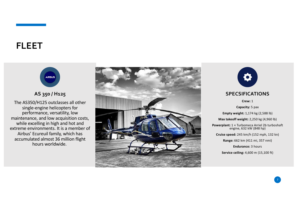

The AS350/H125 outclasses all other single-engine helicopters for performance, versatility, low maintenance, and low acquisition costs, while excelling in high and hot and extreme environments. It is a member of Airbus' Ecureuil family, which has accumulated almost 36 million flight hours worldwide.





**Crew:** 1

**Capacity:** 5 pax **Empty weight:** 1,174 kg (2,588 lb) **Max takeoff weight:** 2,250 kg (4,960 lb) **Powerplant:** 1 × Turbomeca Arriel 2b turboshaft engine, 632 kW (848 hp) **Cruise speed:** 245 km/h (152 mph, 132 kn) **Range:** 662 km (411 mi, 357 nmi) **Endurance:** 3 hours

**Service ceiling:** 4,600 m (15,100 ft)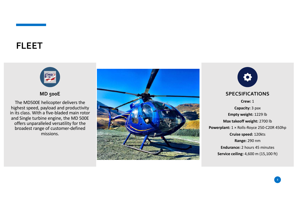

The MD500E helicopter delivers the highest speed, payload and productivity in its class. With a five-bladed main rotor and Single turbine engine, the MD 500E offers unparalleled versatility for the broadest range of customer-defined missions.



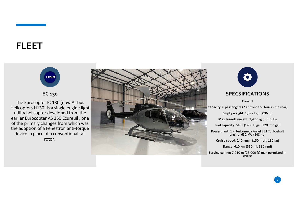

The Eurocopter EC130 (now Airbus Helicopters H130) is a single engine light utility helicopter developed from the earlier Eurocopter AS 350 Ecureuil , one of the primary changes from which was the adoption of a Fenestron anti-torque device in place of a conventional tail rotor.





**Crew:** 1

**Capacity:** 6 passengers (2 at front and four in the rear)

**Empty weight:** 1,377 kg (3,036 lb)

**Max takeoff weight:** 2,427 kg (5,351 lb)

**Fuel capacity:** 540 l (140 US gal; 120 imp gal)

**Powerplant:** 1 × Turbomeca Arriel 2B1 Turboshaft engine, 632 kW (848 hp)

**Cruise speed:** 240 km/h (150 mph, 130 kn)

**Range:** 610 km (380 mi, 330 nmi)

**Service ceiling:** 7,010 m (23,000 ft) max permitted in cruise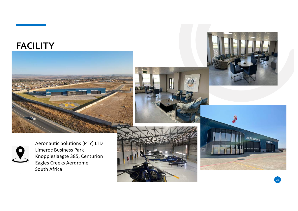## **FACILITY**







 $10<sup>10</sup>$ 



Aeronautic Solutions (PTY) LTD Limeroc Business Park Knoppieslaagte 385, Centurion Eagles Creeks Aerdrome South Africa